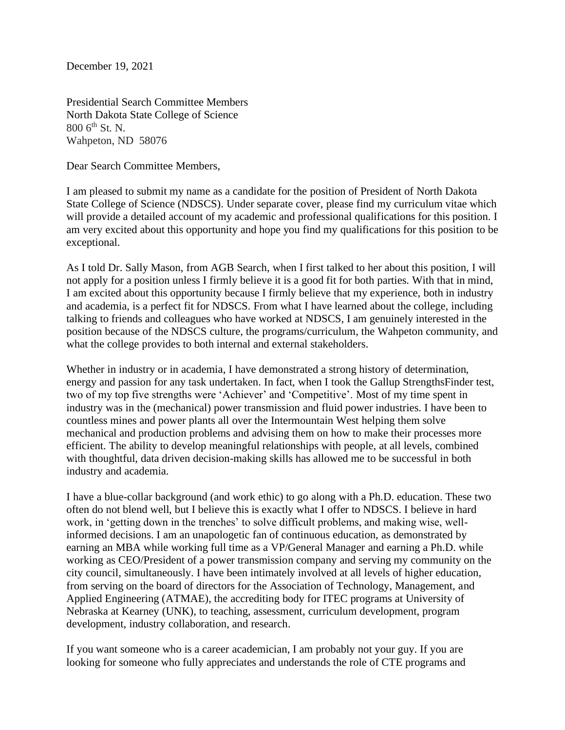December 19, 2021

Presidential Search Committee Members North Dakota State College of Science  $8006^{\text{th}}$  St. N. Wahpeton, ND 58076

Dear Search Committee Members,

I am pleased to submit my name as a candidate for the position of President of North Dakota State College of Science (NDSCS). Under separate cover, please find my curriculum vitae which will provide a detailed account of my academic and professional qualifications for this position. I am very excited about this opportunity and hope you find my qualifications for this position to be exceptional.

As I told Dr. Sally Mason, from AGB Search, when I first talked to her about this position, I will not apply for a position unless I firmly believe it is a good fit for both parties. With that in mind, I am excited about this opportunity because I firmly believe that my experience, both in industry and academia, is a perfect fit for NDSCS. From what I have learned about the college, including talking to friends and colleagues who have worked at NDSCS, I am genuinely interested in the position because of the NDSCS culture, the programs/curriculum, the Wahpeton community, and what the college provides to both internal and external stakeholders.

Whether in industry or in academia, I have demonstrated a strong history of determination, energy and passion for any task undertaken. In fact, when I took the Gallup StrengthsFinder test, two of my top five strengths were 'Achiever' and 'Competitive'. Most of my time spent in industry was in the (mechanical) power transmission and fluid power industries. I have been to countless mines and power plants all over the Intermountain West helping them solve mechanical and production problems and advising them on how to make their processes more efficient. The ability to develop meaningful relationships with people, at all levels, combined with thoughtful, data driven decision-making skills has allowed me to be successful in both industry and academia.

I have a blue-collar background (and work ethic) to go along with a Ph.D. education. These two often do not blend well, but I believe this is exactly what I offer to NDSCS. I believe in hard work, in 'getting down in the trenches' to solve difficult problems, and making wise, wellinformed decisions. I am an unapologetic fan of continuous education, as demonstrated by earning an MBA while working full time as a VP/General Manager and earning a Ph.D. while working as CEO/President of a power transmission company and serving my community on the city council, simultaneously. I have been intimately involved at all levels of higher education, from serving on the board of directors for the Association of Technology, Management, and Applied Engineering (ATMAE), the accrediting body for ITEC programs at University of Nebraska at Kearney (UNK), to teaching, assessment, curriculum development, program development, industry collaboration, and research.

If you want someone who is a career academician, I am probably not your guy. If you are looking for someone who fully appreciates and understands the role of CTE programs and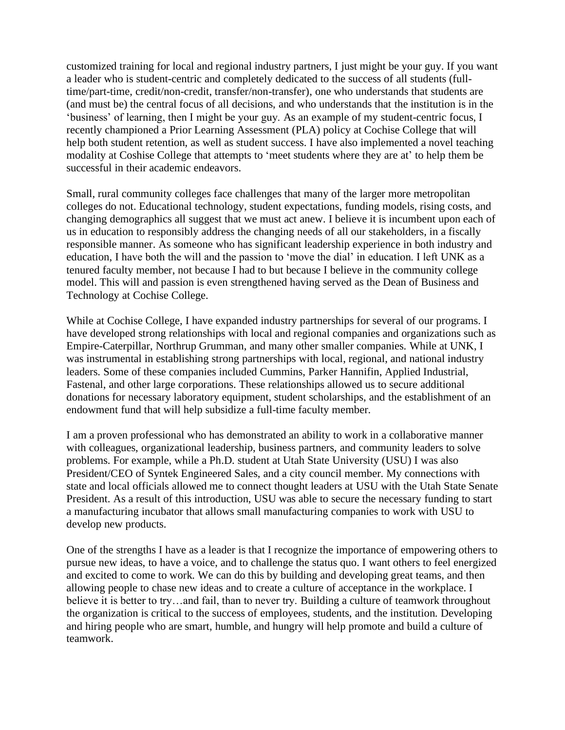customized training for local and regional industry partners, I just might be your guy. If you want a leader who is student-centric and completely dedicated to the success of all students (fulltime/part-time, credit/non-credit, transfer/non-transfer), one who understands that students are (and must be) the central focus of all decisions, and who understands that the institution is in the 'business' of learning, then I might be your guy. As an example of my student-centric focus, I recently championed a Prior Learning Assessment (PLA) policy at Cochise College that will help both student retention, as well as student success. I have also implemented a novel teaching modality at Coshise College that attempts to 'meet students where they are at' to help them be successful in their academic endeavors.

Small, rural community colleges face challenges that many of the larger more metropolitan colleges do not. Educational technology, student expectations, funding models, rising costs, and changing demographics all suggest that we must act anew. I believe it is incumbent upon each of us in education to responsibly address the changing needs of all our stakeholders, in a fiscally responsible manner. As someone who has significant leadership experience in both industry and education, I have both the will and the passion to 'move the dial' in education. I left UNK as a tenured faculty member, not because I had to but because I believe in the community college model. This will and passion is even strengthened having served as the Dean of Business and Technology at Cochise College.

While at Cochise College, I have expanded industry partnerships for several of our programs. I have developed strong relationships with local and regional companies and organizations such as Empire-Caterpillar, Northrup Grumman, and many other smaller companies. While at UNK, I was instrumental in establishing strong partnerships with local, regional, and national industry leaders. Some of these companies included Cummins, Parker Hannifin, Applied Industrial, Fastenal, and other large corporations. These relationships allowed us to secure additional donations for necessary laboratory equipment, student scholarships, and the establishment of an endowment fund that will help subsidize a full-time faculty member.

I am a proven professional who has demonstrated an ability to work in a collaborative manner with colleagues, organizational leadership, business partners, and community leaders to solve problems. For example, while a Ph.D. student at Utah State University (USU) I was also President/CEO of Syntek Engineered Sales, and a city council member. My connections with state and local officials allowed me to connect thought leaders at USU with the Utah State Senate President. As a result of this introduction, USU was able to secure the necessary funding to start a manufacturing incubator that allows small manufacturing companies to work with USU to develop new products.

One of the strengths I have as a leader is that I recognize the importance of empowering others to pursue new ideas, to have a voice, and to challenge the status quo. I want others to feel energized and excited to come to work. We can do this by building and developing great teams, and then allowing people to chase new ideas and to create a culture of acceptance in the workplace. I believe it is better to try…and fail, than to never try. Building a culture of teamwork throughout the organization is critical to the success of employees, students, and the institution. Developing and hiring people who are smart, humble, and hungry will help promote and build a culture of teamwork.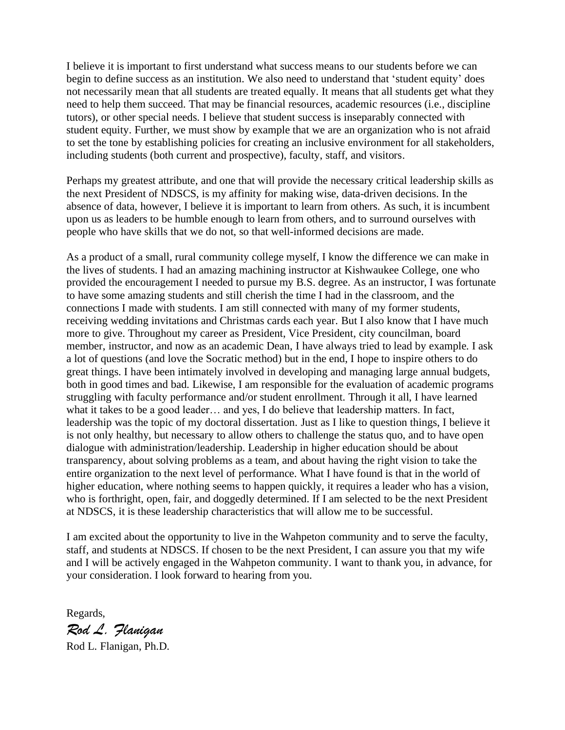I believe it is important to first understand what success means to our students before we can begin to define success as an institution. We also need to understand that 'student equity' does not necessarily mean that all students are treated equally. It means that all students get what they need to help them succeed. That may be financial resources, academic resources (i.e., discipline tutors), or other special needs. I believe that student success is inseparably connected with student equity. Further, we must show by example that we are an organization who is not afraid to set the tone by establishing policies for creating an inclusive environment for all stakeholders, including students (both current and prospective), faculty, staff, and visitors.

Perhaps my greatest attribute, and one that will provide the necessary critical leadership skills as the next President of NDSCS, is my affinity for making wise, data-driven decisions. In the absence of data, however, I believe it is important to learn from others. As such, it is incumbent upon us as leaders to be humble enough to learn from others, and to surround ourselves with people who have skills that we do not, so that well-informed decisions are made.

As a product of a small, rural community college myself, I know the difference we can make in the lives of students. I had an amazing machining instructor at Kishwaukee College, one who provided the encouragement I needed to pursue my B.S. degree. As an instructor, I was fortunate to have some amazing students and still cherish the time I had in the classroom, and the connections I made with students. I am still connected with many of my former students, receiving wedding invitations and Christmas cards each year. But I also know that I have much more to give. Throughout my career as President, Vice President, city councilman, board member, instructor, and now as an academic Dean, I have always tried to lead by example. I ask a lot of questions (and love the Socratic method) but in the end, I hope to inspire others to do great things. I have been intimately involved in developing and managing large annual budgets, both in good times and bad. Likewise, I am responsible for the evaluation of academic programs struggling with faculty performance and/or student enrollment. Through it all, I have learned what it takes to be a good leader… and yes, I do believe that leadership matters. In fact, leadership was the topic of my doctoral dissertation. Just as I like to question things, I believe it is not only healthy, but necessary to allow others to challenge the status quo, and to have open dialogue with administration/leadership. Leadership in higher education should be about transparency, about solving problems as a team, and about having the right vision to take the entire organization to the next level of performance. What I have found is that in the world of higher education, where nothing seems to happen quickly, it requires a leader who has a vision, who is forthright, open, fair, and doggedly determined. If I am selected to be the next President at NDSCS, it is these leadership characteristics that will allow me to be successful.

I am excited about the opportunity to live in the Wahpeton community and to serve the faculty, staff, and students at NDSCS. If chosen to be the next President, I can assure you that my wife and I will be actively engaged in the Wahpeton community. I want to thank you, in advance, for your consideration. I look forward to hearing from you.

Regards,

*Rod L. Flanigan*

Rod L. Flanigan, Ph.D.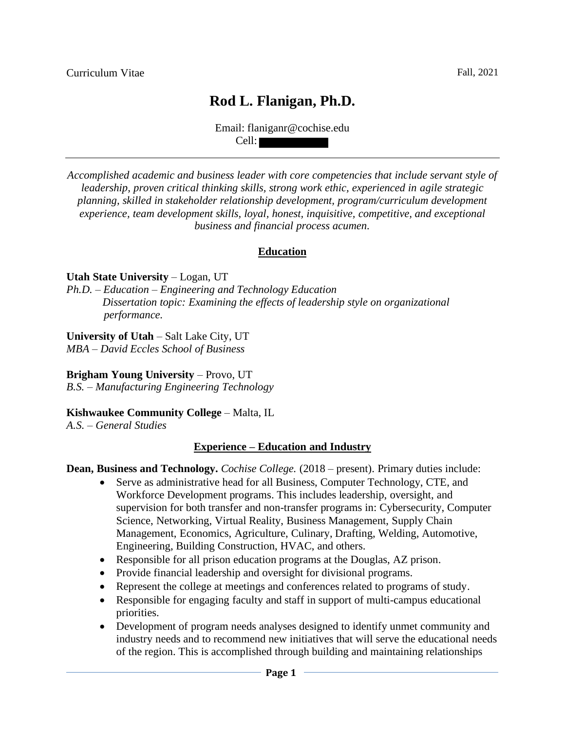# **Rod L. Flanigan, Ph.D.**

Email: flaniganr@cochise.edu Cell:

*Accomplished academic and business leader with core competencies that include servant style of leadership, proven critical thinking skills, strong work ethic, experienced in agile strategic planning, skilled in stakeholder relationship development, program/curriculum development experience, team development skills, loyal, honest, inquisitive, competitive, and exceptional business and financial process acumen.*

#### **Education**

#### **Utah State University** – Logan, UT

*Ph.D. – Education – Engineering and Technology Education Dissertation topic: Examining the effects of leadership style on organizational performance.*

#### **University of Utah** – Salt Lake City, UT

*MBA – David Eccles School of Business*

### **Brigham Young University** – Provo, UT

*B.S. – Manufacturing Engineering Technology*

#### **Kishwaukee Community College** – Malta, IL

*A.S. – General Studies*

#### **Experience – Education and Industry**

#### **Dean, Business and Technology.** *Cochise College.* (2018 – present). Primary duties include:

- Serve as administrative head for all Business, Computer Technology, CTE, and Workforce Development programs. This includes leadership, oversight, and supervision for both transfer and non-transfer programs in: Cybersecurity, Computer Science, Networking, Virtual Reality, Business Management, Supply Chain Management, Economics, Agriculture, Culinary, Drafting, Welding, Automotive, Engineering, Building Construction, HVAC, and others.
- Responsible for all prison education programs at the Douglas, AZ prison.
- Provide financial leadership and oversight for divisional programs.
- Represent the college at meetings and conferences related to programs of study.
- Responsible for engaging faculty and staff in support of multi-campus educational priorities.
- Development of program needs analyses designed to identify unmet community and industry needs and to recommend new initiatives that will serve the educational needs of the region. This is accomplished through building and maintaining relationships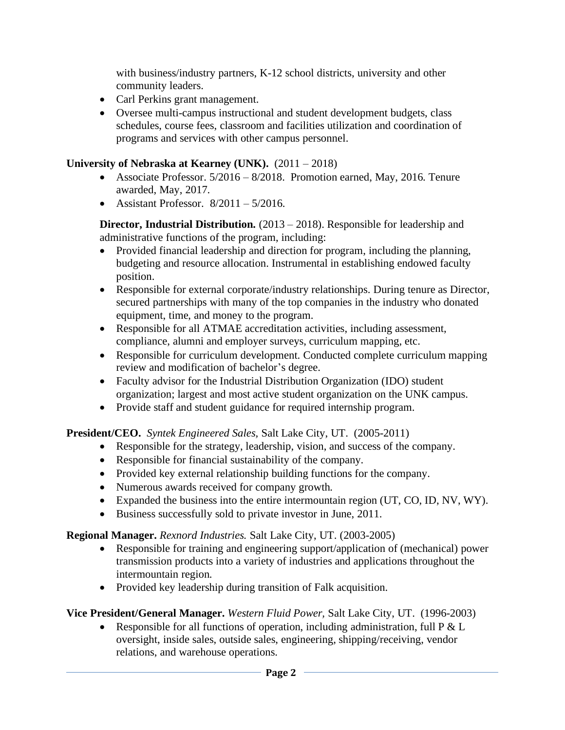with business/industry partners, K-12 school districts, university and other community leaders.

- Carl Perkins grant management.
- Oversee multi-campus instructional and student development budgets, class schedules, course fees, classroom and facilities utilization and coordination of programs and services with other campus personnel.

## **University of Nebraska at Kearney (UNK).** (2011 – 2018)

- Associate Professor. 5/2016 8/2018. Promotion earned, May, 2016. Tenure awarded, May, 2017.
- Assistant Professor.  $8/2011 5/2016$ .

**Director, Industrial Distribution.** (2013 – 2018). Responsible for leadership and administrative functions of the program, including:

- Provided financial leadership and direction for program, including the planning, budgeting and resource allocation. Instrumental in establishing endowed faculty position.
- Responsible for external corporate/industry relationships. During tenure as Director, secured partnerships with many of the top companies in the industry who donated equipment, time, and money to the program.
- Responsible for all ATMAE accreditation activities, including assessment, compliance, alumni and employer surveys, curriculum mapping, etc.
- Responsible for curriculum development. Conducted complete curriculum mapping review and modification of bachelor's degree.
- Faculty advisor for the Industrial Distribution Organization (IDO) student organization; largest and most active student organization on the UNK campus.
- Provide staff and student guidance for required internship program.

**President/CEO.** *Syntek Engineered Sales,* Salt Lake City, UT. (2005-2011)

- Responsible for the strategy, leadership, vision, and success of the company.
- Responsible for financial sustainability of the company.
- Provided key external relationship building functions for the company.
- Numerous awards received for company growth.
- Expanded the business into the entire intermountain region (UT, CO, ID, NV, WY).
- Business successfully sold to private investor in June, 2011.

# **Regional Manager.** *Rexnord Industries.* Salt Lake City, UT. (2003-2005)

- Responsible for training and engineering support/application of (mechanical) power transmission products into a variety of industries and applications throughout the intermountain region.
- Provided key leadership during transition of Falk acquisition.

# **Vice President/General Manager.** *Western Fluid Power,* Salt Lake City, UT. (1996-2003)

• Responsible for all functions of operation, including administration, full  $P \& L$ oversight, inside sales, outside sales, engineering, shipping/receiving, vendor relations, and warehouse operations.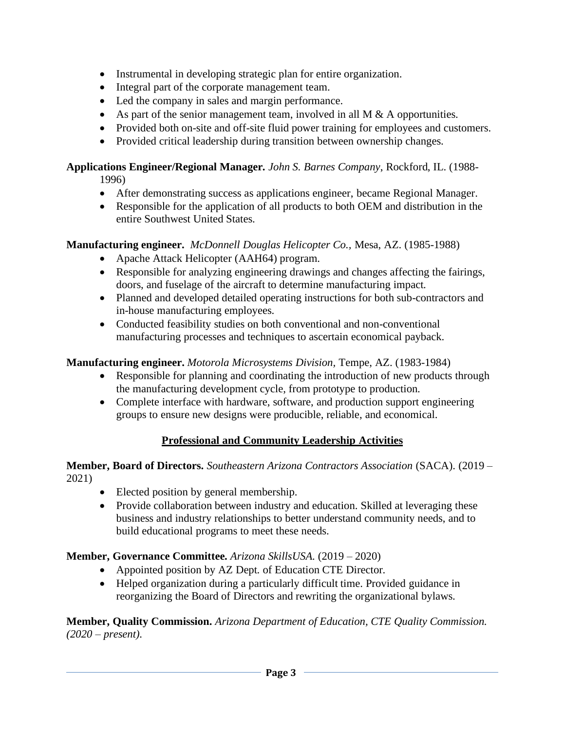- Instrumental in developing strategic plan for entire organization.
- Integral part of the corporate management team.
- Led the company in sales and margin performance.
- As part of the senior management team, involved in all M  $\&$  A opportunities.
- Provided both on-site and off-site fluid power training for employees and customers.
- Provided critical leadership during transition between ownership changes.

#### **Applications Engineer/Regional Manager.** *John S. Barnes Company*, Rockford, IL. (1988- 1996)

- After demonstrating success as applications engineer, became Regional Manager.
- Responsible for the application of all products to both OEM and distribution in the entire Southwest United States.

## **Manufacturing engineer.** *McDonnell Douglas Helicopter Co.,* Mesa, AZ. (1985-1988)

- Apache Attack Helicopter (AAH64) program.
- Responsible for analyzing engineering drawings and changes affecting the fairings, doors, and fuselage of the aircraft to determine manufacturing impact.
- Planned and developed detailed operating instructions for both sub-contractors and in-house manufacturing employees.
- Conducted feasibility studies on both conventional and non-conventional manufacturing processes and techniques to ascertain economical payback.

# **Manufacturing engineer.** *Motorola Microsystems Division,* Tempe, AZ. (1983-1984)

- Responsible for planning and coordinating the introduction of new products through the manufacturing development cycle, from prototype to production.
- Complete interface with hardware, software, and production support engineering groups to ensure new designs were producible, reliable, and economical.

# **Professional and Community Leadership Activities**

#### **Member, Board of Directors.** *Southeastern Arizona Contractors Association* (SACA). (2019 – 2021)

- Elected position by general membership.
- Provide collaboration between industry and education. Skilled at leveraging these business and industry relationships to better understand community needs, and to build educational programs to meet these needs.

# **Member, Governance Committee.** *Arizona SkillsUSA.* (2019 – 2020)

- Appointed position by AZ Dept. of Education CTE Director.
- Helped organization during a particularly difficult time. Provided guidance in reorganizing the Board of Directors and rewriting the organizational bylaws.

**Member, Quality Commission.** *Arizona Department of Education, CTE Quality Commission. (2020 – present).*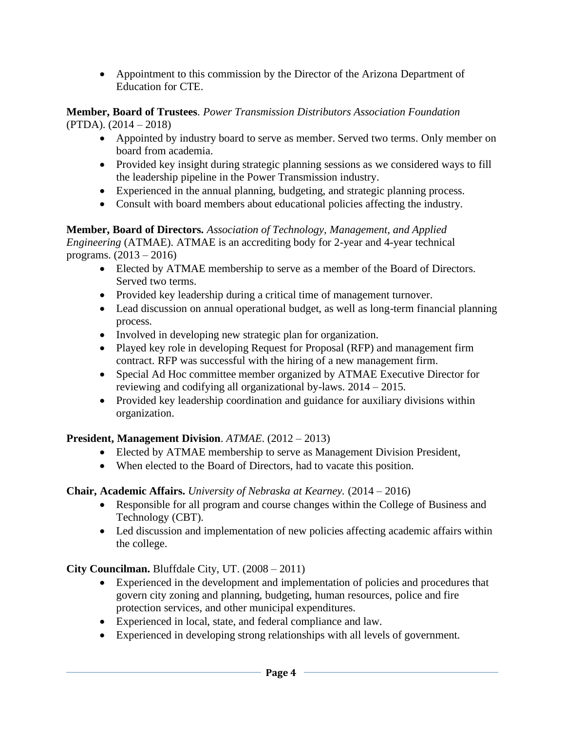• Appointment to this commission by the Director of the Arizona Department of Education for CTE.

**Member, Board of Trustees**. *Power Transmission Distributors Association Foundation* (PTDA). (2014 – 2018)

- Appointed by industry board to serve as member. Served two terms. Only member on board from academia.
- Provided key insight during strategic planning sessions as we considered ways to fill the leadership pipeline in the Power Transmission industry.
- Experienced in the annual planning, budgeting, and strategic planning process.
- Consult with board members about educational policies affecting the industry.

**Member, Board of Directors.** *Association of Technology, Management, and Applied Engineering* (ATMAE). ATMAE is an accrediting body for 2-year and 4-year technical programs. (2013 – 2016)

- Elected by ATMAE membership to serve as a member of the Board of Directors. Served two terms.
- Provided key leadership during a critical time of management turnover.
- Lead discussion on annual operational budget, as well as long-term financial planning process.
- Involved in developing new strategic plan for organization.
- Played key role in developing Request for Proposal (RFP) and management firm contract. RFP was successful with the hiring of a new management firm.
- Special Ad Hoc committee member organized by ATMAE Executive Director for reviewing and codifying all organizational by-laws. 2014 – 2015.
- Provided key leadership coordination and guidance for auxiliary divisions within organization.

### **President, Management Division**. *ATMAE*. (2012 – 2013)

- Elected by ATMAE membership to serve as Management Division President,
- When elected to the Board of Directors, had to vacate this position.

### **Chair, Academic Affairs.** *University of Nebraska at Kearney.* (2014 – 2016)

- Responsible for all program and course changes within the College of Business and Technology (CBT).
- Led discussion and implementation of new policies affecting academic affairs within the college.

**City Councilman.** Bluffdale City, UT. (2008 – 2011)

- Experienced in the development and implementation of policies and procedures that govern city zoning and planning, budgeting, human resources, police and fire protection services, and other municipal expenditures.
- Experienced in local, state, and federal compliance and law.
- Experienced in developing strong relationships with all levels of government.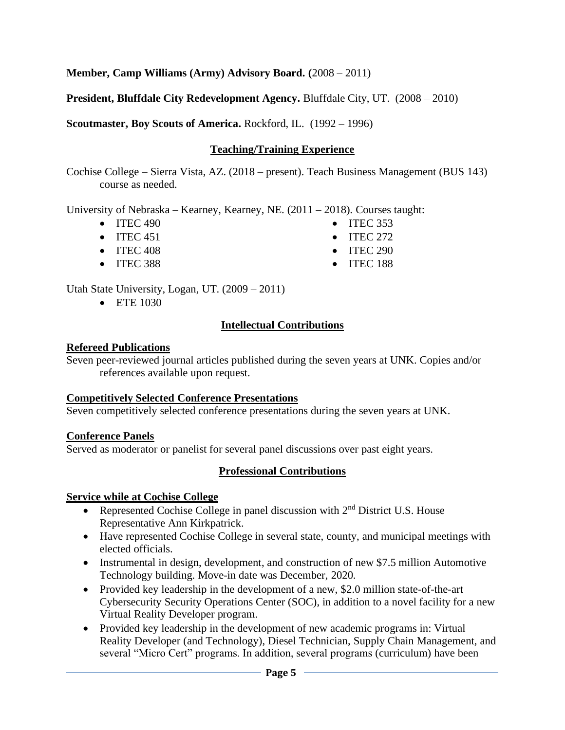**Member, Camp Williams (Army) Advisory Board. (**2008 – 2011)

**President, Bluffdale City Redevelopment Agency.** Bluffdale City, UT. (2008 – 2010)

**Scoutmaster, Boy Scouts of America.** Rockford, IL. (1992 – 1996)

# **Teaching/Training Experience**

Cochise College – Sierra Vista, AZ. (2018 – present). Teach Business Management (BUS 143) course as needed.

University of Nebraska – Kearney, Kearney, NE. (2011 – 2018). Courses taught:

- ITEC 490
- ITEC 451
- ITEC 408
- ITEC 388
- 

Utah State University, Logan, UT. (2009 – 2011)

• ETE 1030

# **Intellectual Contributions**

## **Refereed Publications**

Seven peer-reviewed journal articles published during the seven years at UNK. Copies and/or references available upon request.

# **Competitively Selected Conference Presentations**

Seven competitively selected conference presentations during the seven years at UNK.

# **Conference Panels**

Served as moderator or panelist for several panel discussions over past eight years.

# **Professional Contributions**

# **Service while at Cochise College**

- Represented Cochise College in panel discussion with  $2<sup>nd</sup>$  District U.S. House Representative Ann Kirkpatrick.
- Have represented Cochise College in several state, county, and municipal meetings with elected officials.
- Instrumental in design, development, and construction of new \$7.5 million Automotive Technology building. Move-in date was December, 2020.
- Provided key leadership in the development of a new, \$2.0 million state-of-the-art Cybersecurity Security Operations Center (SOC), in addition to a novel facility for a new Virtual Reality Developer program.
- Provided key leadership in the development of new academic programs in: Virtual Reality Developer (and Technology), Diesel Technician, Supply Chain Management, and several "Micro Cert" programs. In addition, several programs (curriculum) have been
- ITEC 353
- ITEC 272
- ITEC 290
- ITEC 188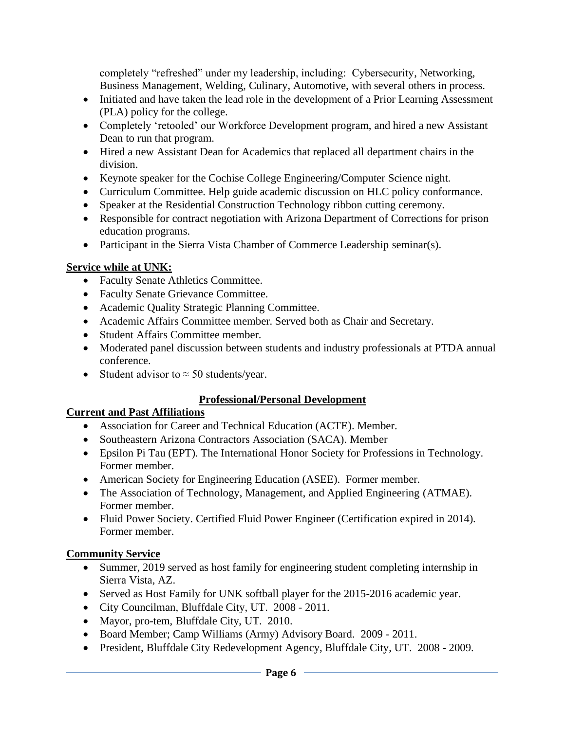completely "refreshed" under my leadership, including: Cybersecurity, Networking, Business Management, Welding, Culinary, Automotive, with several others in process.

- Initiated and have taken the lead role in the development of a Prior Learning Assessment (PLA) policy for the college.
- Completely 'retooled' our Workforce Development program, and hired a new Assistant Dean to run that program.
- Hired a new Assistant Dean for Academics that replaced all department chairs in the division.
- Keynote speaker for the Cochise College Engineering/Computer Science night.
- Curriculum Committee. Help guide academic discussion on HLC policy conformance.
- Speaker at the Residential Construction Technology ribbon cutting ceremony.
- Responsible for contract negotiation with Arizona Department of Corrections for prison education programs.
- Participant in the Sierra Vista Chamber of Commerce Leadership seminar(s).

## **Service while at UNK:**

- Faculty Senate Athletics Committee.
- Faculty Senate Grievance Committee.
- Academic Quality Strategic Planning Committee.
- Academic Affairs Committee member. Served both as Chair and Secretary.
- Student Affairs Committee member.
- Moderated panel discussion between students and industry professionals at PTDA annual conference.
- Student advisor to  $\approx$  50 students/year.

# **Professional/Personal Development**

### **Current and Past Affiliations**

- Association for Career and Technical Education (ACTE). Member.
- Southeastern Arizona Contractors Association (SACA). Member
- Epsilon Pi Tau (EPT). The International Honor Society for Professions in Technology. Former member.
- American Society for Engineering Education (ASEE). Former member.
- The Association of Technology, Management, and Applied Engineering (ATMAE). Former member.
- Fluid Power Society. Certified Fluid Power Engineer (Certification expired in 2014). Former member.

# **Community Service**

- Summer, 2019 served as host family for engineering student completing internship in Sierra Vista, AZ.
- Served as Host Family for UNK softball player for the 2015-2016 academic year.
- City Councilman, Bluffdale City, UT. 2008 2011.
- Mayor, pro-tem, Bluffdale City, UT. 2010.
- Board Member; Camp Williams (Army) Advisory Board. 2009 2011.
- President, Bluffdale City Redevelopment Agency, Bluffdale City, UT. 2008 2009.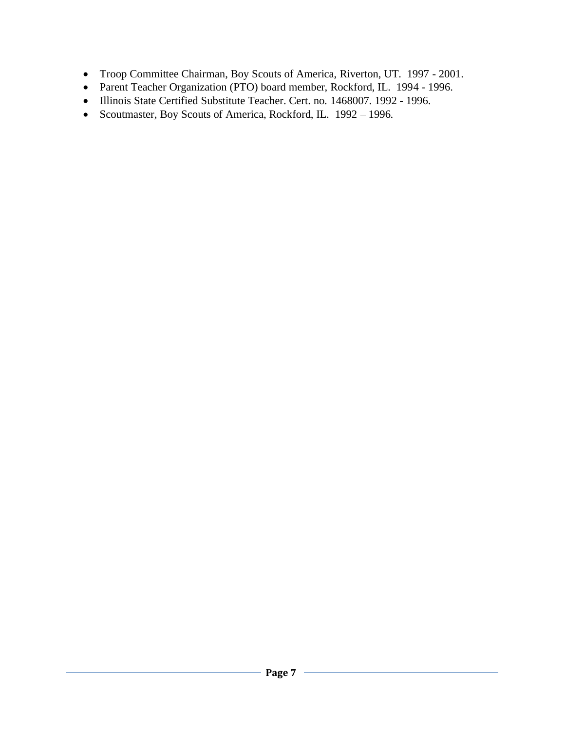- Troop Committee Chairman, Boy Scouts of America, Riverton, UT. 1997 2001.
- Parent Teacher Organization (PTO) board member, Rockford, IL. 1994 1996.
- Illinois State Certified Substitute Teacher. Cert. no. 1468007. 1992 1996.
- Scoutmaster, Boy Scouts of America, Rockford, IL. 1992 1996.